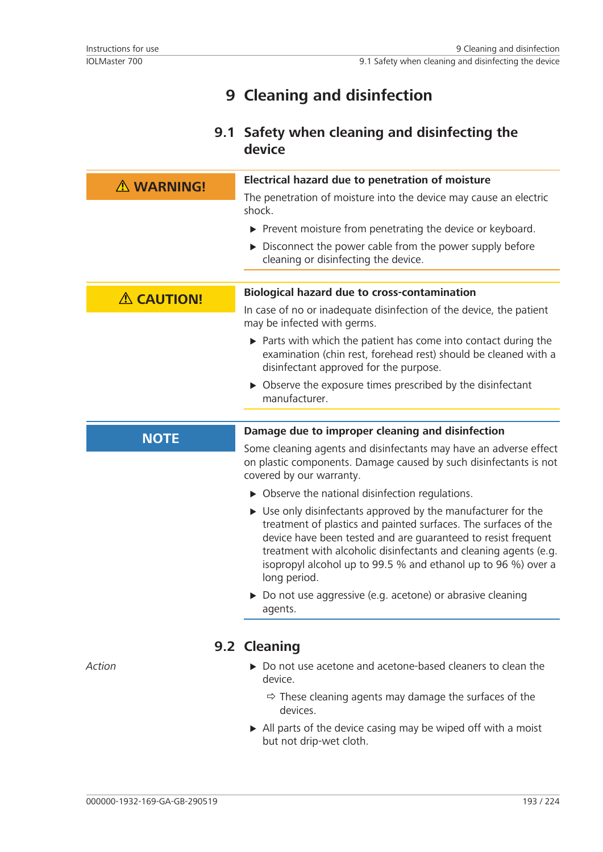## **9 Cleaning and disinfection**

## **9.1 Safety when cleaning and disinfecting the device**

| A WARNING!        | Electrical hazard due to penetration of moisture                                                                                                                                                                                                                                                                                                                      |
|-------------------|-----------------------------------------------------------------------------------------------------------------------------------------------------------------------------------------------------------------------------------------------------------------------------------------------------------------------------------------------------------------------|
|                   | The penetration of moisture into the device may cause an electric<br>shock.                                                                                                                                                                                                                                                                                           |
|                   | ▶ Prevent moisture from penetrating the device or keyboard.                                                                                                                                                                                                                                                                                                           |
|                   | Disconnect the power cable from the power supply before<br>cleaning or disinfecting the device.                                                                                                                                                                                                                                                                       |
| <b>A CAUTION!</b> | <b>Biological hazard due to cross-contamination</b>                                                                                                                                                                                                                                                                                                                   |
|                   | In case of no or inadequate disinfection of the device, the patient<br>may be infected with germs.                                                                                                                                                                                                                                                                    |
|                   | $\triangleright$ Parts with which the patient has come into contact during the<br>examination (chin rest, forehead rest) should be cleaned with a<br>disinfectant approved for the purpose.                                                                                                                                                                           |
|                   | • Observe the exposure times prescribed by the disinfectant<br>manufacturer.                                                                                                                                                                                                                                                                                          |
|                   |                                                                                                                                                                                                                                                                                                                                                                       |
| <b>NOTE</b>       | Damage due to improper cleaning and disinfection                                                                                                                                                                                                                                                                                                                      |
|                   | Some cleaning agents and disinfectants may have an adverse effect<br>on plastic components. Damage caused by such disinfectants is not<br>covered by our warranty.                                                                                                                                                                                                    |
|                   | $\triangleright$ Observe the national disinfection regulations.                                                                                                                                                                                                                                                                                                       |
|                   | $\triangleright$ Use only disinfectants approved by the manufacturer for the<br>treatment of plastics and painted surfaces. The surfaces of the<br>device have been tested and are guaranteed to resist frequent<br>treatment with alcoholic disinfectants and cleaning agents (e.g.<br>isopropyl alcohol up to 99.5 % and ethanol up to 96 %) over a<br>long period. |
|                   | > Do not use aggressive (e.g. acetone) or abrasive cleaning<br>agents.                                                                                                                                                                                                                                                                                                |
|                   | 9.2 Cleaning                                                                                                                                                                                                                                                                                                                                                          |
| Action            | $\triangleright$ Do not use acetone and acetone-based cleaners to clean the<br>device.                                                                                                                                                                                                                                                                                |
|                   | $\Rightarrow$ These cleaning agents may damage the surfaces of the                                                                                                                                                                                                                                                                                                    |

- $\Rightarrow$  These cleaning agents may damage the surfaces of the devices.
- $\triangleright$  All parts of the device casing may be wiped off with a moist but not drip-wet cloth.